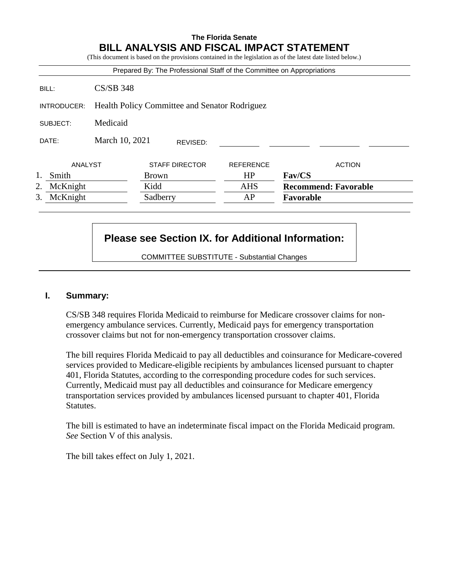# **The Florida Senate BILL ANALYSIS AND FISCAL IMPACT STATEMENT**

(This document is based on the provisions contained in the legislation as of the latest date listed below.)

|                |                                               | Prepared By: The Professional Staff of the Committee on Appropriations |                  |                             |
|----------------|-----------------------------------------------|------------------------------------------------------------------------|------------------|-----------------------------|
| BILL:          | $CS/SB$ 348                                   |                                                                        |                  |                             |
| INTRODUCER:    | Health Policy Committee and Senator Rodriguez |                                                                        |                  |                             |
| SUBJECT:       | Medicaid                                      |                                                                        |                  |                             |
| DATE:          | March 10, 2021                                | REVISED:                                                               |                  |                             |
| ANALYST        |                                               | <b>STAFF DIRECTOR</b>                                                  | <b>REFERENCE</b> | <b>ACTION</b>               |
| Smith          |                                               | <b>Brown</b>                                                           | HP               | <b>Fav/CS</b>               |
| McKnight<br>2. |                                               | Kidd                                                                   | <b>AHS</b>       | <b>Recommend: Favorable</b> |
| 3.<br>McKnight |                                               | Sadberry                                                               | AP               | Favorable                   |

# **Please see Section IX. for Additional Information:**

COMMITTEE SUBSTITUTE - Substantial Changes

### **I. Summary:**

CS/SB 348 requires Florida Medicaid to reimburse for Medicare crossover claims for nonemergency ambulance services. Currently, Medicaid pays for emergency transportation crossover claims but not for non-emergency transportation crossover claims.

The bill requires Florida Medicaid to pay all deductibles and coinsurance for Medicare-covered services provided to Medicare-eligible recipients by ambulances licensed pursuant to chapter 401, Florida Statutes, according to the corresponding procedure codes for such services. Currently, Medicaid must pay all deductibles and coinsurance for Medicare emergency transportation services provided by ambulances licensed pursuant to chapter 401, Florida Statutes.

The bill is estimated to have an indeterminate fiscal impact on the Florida Medicaid program. *See* Section V of this analysis.

The bill takes effect on July 1, 2021.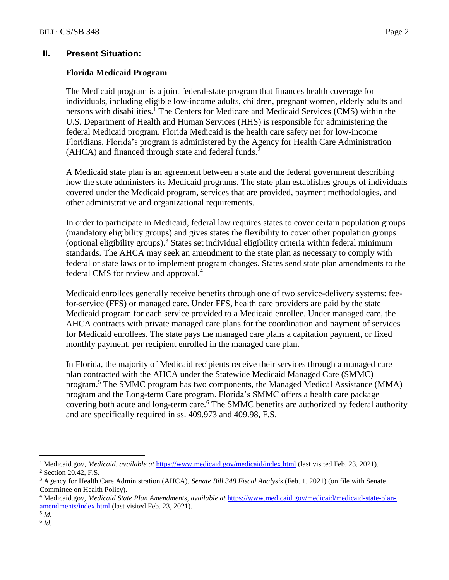# **II. Present Situation:**

# **Florida Medicaid Program**

The Medicaid program is a joint federal-state program that finances health coverage for individuals, including eligible low-income adults, children, pregnant women, elderly adults and persons with disabilities.<sup>1</sup> The Centers for Medicare and Medicaid Services (CMS) within the U.S. Department of Health and Human Services (HHS) is responsible for administering the federal Medicaid program. Florida Medicaid is the health care safety net for low-income Floridians. Florida's program is administered by the Agency for Health Care Administration (AHCA) and financed through state and federal funds.<sup>2</sup>

A Medicaid state plan is an agreement between a state and the federal government describing how the state administers its Medicaid programs. The state plan establishes groups of individuals covered under the Medicaid program, services that are provided, payment methodologies, and other administrative and organizational requirements.

In order to participate in Medicaid, federal law requires states to cover certain population groups (mandatory eligibility groups) and gives states the flexibility to cover other population groups (optional eligibility groups).<sup>3</sup> States set individual eligibility criteria within federal minimum standards. The AHCA may seek an amendment to the state plan as necessary to comply with federal or state laws or to implement program changes. States send state plan amendments to the federal CMS for review and approval.<sup>4</sup>

Medicaid enrollees generally receive benefits through one of two service-delivery systems: feefor-service (FFS) or managed care. Under FFS, health care providers are paid by the state Medicaid program for each service provided to a Medicaid enrollee. Under managed care, the AHCA contracts with private managed care plans for the coordination and payment of services for Medicaid enrollees. The state pays the managed care plans a capitation payment, or fixed monthly payment, per recipient enrolled in the managed care plan.

In Florida, the majority of Medicaid recipients receive their services through a managed care plan contracted with the AHCA under the Statewide Medicaid Managed Care (SMMC) program.<sup>5</sup> The SMMC program has two components, the Managed Medical Assistance (MMA) program and the Long-term Care program. Florida's SMMC offers a health care package covering both acute and long-term care. <sup>6</sup> The SMMC benefits are authorized by federal authority and are specifically required in ss. 409.973 and 409.98, F.S.

 $\overline{a}$ 

<sup>1</sup> Medicaid.gov, *Medicaid*, *available at* <https://www.medicaid.gov/medicaid/index.html> (last visited Feb. 23, 2021). <sup>2</sup> Section 20.42, F.S.

<sup>3</sup> Agency for Health Care Administration (AHCA), *Senate Bill 348 Fiscal Analysis* (Feb. 1, 2021) (on file with Senate Committee on Health Policy).

<sup>4</sup> Medicaid.gov, *Medicaid State Plan Amendments, available at* [https://www.medicaid.gov/medicaid/medicaid-state-plan](https://www.medicaid.gov/medicaid/medicaid-state-plan-amendments/index.html)[amendments/index.html](https://www.medicaid.gov/medicaid/medicaid-state-plan-amendments/index.html) (last visited Feb. 23, 2021).

<sup>5</sup> *Id.*

<sup>6</sup> *Id.*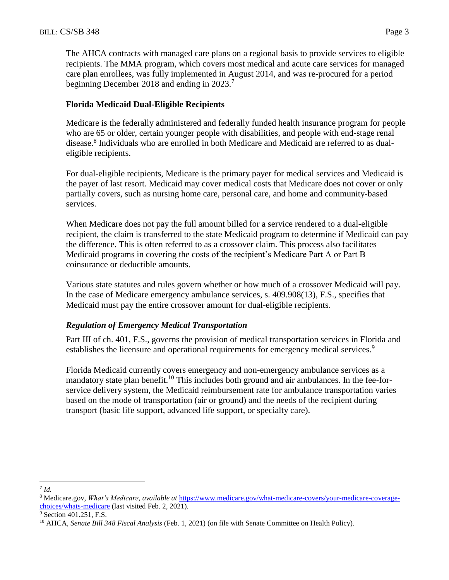The AHCA contracts with managed care plans on a regional basis to provide services to eligible recipients. The MMA program, which covers most medical and acute care services for managed care plan enrollees, was fully implemented in August 2014, and was re-procured for a period beginning December 2018 and ending in 2023.<sup>7</sup>

### **Florida Medicaid Dual-Eligible Recipients**

Medicare is the federally administered and federally funded health insurance program for people who are 65 or older, certain younger people with disabilities, and people with end-stage renal disease.<sup>8</sup> Individuals who are enrolled in both Medicare and Medicaid are referred to as dualeligible recipients.

For dual-eligible recipients, Medicare is the primary payer for medical services and Medicaid is the payer of last resort. Medicaid may cover medical costs that Medicare does not cover or only partially covers, such as nursing home care, personal care, and home and community-based services.

When Medicare does not pay the full amount billed for a service rendered to a dual-eligible recipient, the claim is transferred to the state Medicaid program to determine if Medicaid can pay the difference. This is often referred to as a crossover claim. This process also facilitates Medicaid programs in covering the costs of the recipient's Medicare Part A or Part B coinsurance or deductible amounts.

Various state statutes and rules govern whether or how much of a crossover Medicaid will pay. In the case of Medicare emergency ambulance services, s. 409.908(13), F.S., specifies that Medicaid must pay the entire crossover amount for dual-eligible recipients.

### *Regulation of Emergency Medical Transportation*

Part III of ch. 401, F.S., governs the provision of medical transportation services in Florida and establishes the licensure and operational requirements for emergency medical services.<sup>9</sup>

Florida Medicaid currently covers emergency and non-emergency ambulance services as a mandatory state plan benefit.<sup>10</sup> This includes both ground and air ambulances. In the fee-forservice delivery system, the Medicaid reimbursement rate for ambulance transportation varies based on the mode of transportation (air or ground) and the needs of the recipient during transport (basic life support, advanced life support, or specialty care).

 $\overline{a}$ 7 *Id.*

<sup>8</sup> Medicare.gov, *What's Medicare*, *available at* [https://www.medicare.gov/what-medicare-covers/your-medicare-coverage](https://www.medicare.gov/what-medicare-covers/your-medicare-coverage-choices/whats-medicare)[choices/whats-medicare](https://www.medicare.gov/what-medicare-covers/your-medicare-coverage-choices/whats-medicare) (last visited Feb. 2, 2021).

<sup>&</sup>lt;sup>9</sup> Section 401.251, F.S.

<sup>10</sup> AHCA, *Senate Bill 348 Fiscal Analysis* (Feb. 1, 2021) (on file with Senate Committee on Health Policy).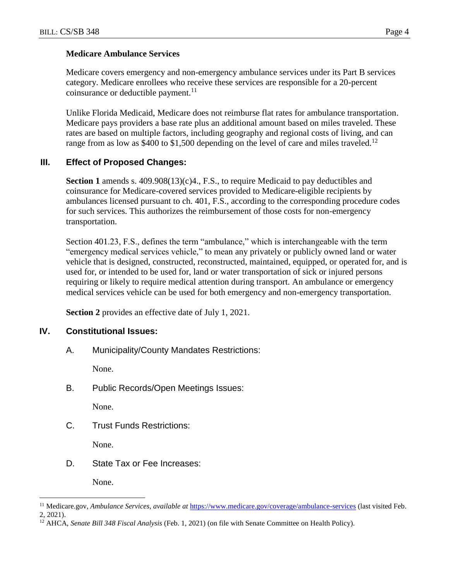### **Medicare Ambulance Services**

Medicare covers emergency and non-emergency ambulance services under its Part B services category. Medicare enrollees who receive these services are responsible for a 20-percent coinsurance or deductible payment. $^{11}$ 

Unlike Florida Medicaid, Medicare does not reimburse flat rates for ambulance transportation. Medicare pays providers a base rate plus an additional amount based on miles traveled. These rates are based on multiple factors, including geography and regional costs of living, and can range from as low as \$400 to \$1,500 depending on the level of care and miles traveled.<sup>12</sup>

## **III. Effect of Proposed Changes:**

**Section 1** amends s. 409.908(13)(c)4., F.S., to require Medicaid to pay deductibles and coinsurance for Medicare-covered services provided to Medicare-eligible recipients by ambulances licensed pursuant to ch. 401, F.S., according to the corresponding procedure codes for such services. This authorizes the reimbursement of those costs for non-emergency transportation.

Section 401.23, F.S., defines the term "ambulance," which is interchangeable with the term "emergency medical services vehicle," to mean any privately or publicly owned land or water vehicle that is designed, constructed, reconstructed, maintained, equipped, or operated for, and is used for, or intended to be used for, land or water transportation of sick or injured persons requiring or likely to require medical attention during transport. An ambulance or emergency medical services vehicle can be used for both emergency and non-emergency transportation.

**Section 2** provides an effective date of July 1, 2021.

### **IV. Constitutional Issues:**

A. Municipality/County Mandates Restrictions:

None.

B. Public Records/Open Meetings Issues:

None.

C. Trust Funds Restrictions:

None.

D. State Tax or Fee Increases:

None.

 $\overline{a}$ 

<sup>11</sup> Medicare.gov, *Ambulance Services*, *available at* <https://www.medicare.gov/coverage/ambulance-services> (last visited Feb. 2, 2021).

<sup>12</sup> AHCA, *Senate Bill 348 Fiscal Analysis* (Feb. 1, 2021) (on file with Senate Committee on Health Policy).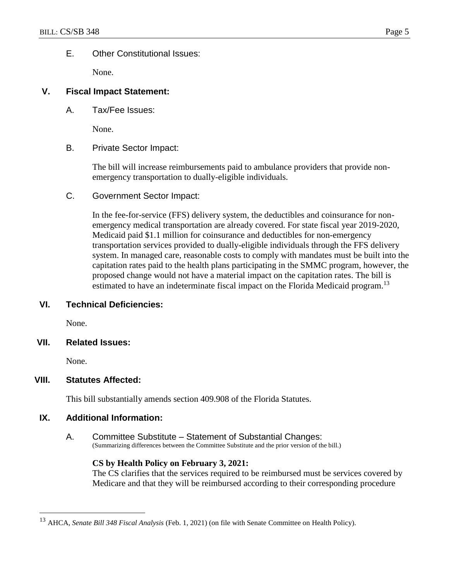### E. Other Constitutional Issues:

None.

### **V. Fiscal Impact Statement:**

A. Tax/Fee Issues:

None.

B. Private Sector Impact:

The bill will increase reimbursements paid to ambulance providers that provide nonemergency transportation to dually-eligible individuals.

C. Government Sector Impact:

In the fee-for-service (FFS) delivery system, the deductibles and coinsurance for nonemergency medical transportation are already covered. For state fiscal year 2019-2020, Medicaid paid \$1.1 million for coinsurance and deductibles for non-emergency transportation services provided to dually-eligible individuals through the FFS delivery system. In managed care, reasonable costs to comply with mandates must be built into the capitation rates paid to the health plans participating in the SMMC program, however, the proposed change would not have a material impact on the capitation rates. The bill is estimated to have an indeterminate fiscal impact on the Florida Medicaid program.<sup>13</sup>

### **VI. Technical Deficiencies:**

None.

**VII. Related Issues:**

None.

 $\overline{a}$ 

### **VIII. Statutes Affected:**

This bill substantially amends section 409.908 of the Florida Statutes.

### **IX. Additional Information:**

A. Committee Substitute – Statement of Substantial Changes: (Summarizing differences between the Committee Substitute and the prior version of the bill.)

### **CS by Health Policy on February 3, 2021:**

The CS clarifies that the services required to be reimbursed must be services covered by Medicare and that they will be reimbursed according to their corresponding procedure

<sup>13</sup> AHCA, *Senate Bill 348 Fiscal Analysis* (Feb. 1, 2021) (on file with Senate Committee on Health Policy).